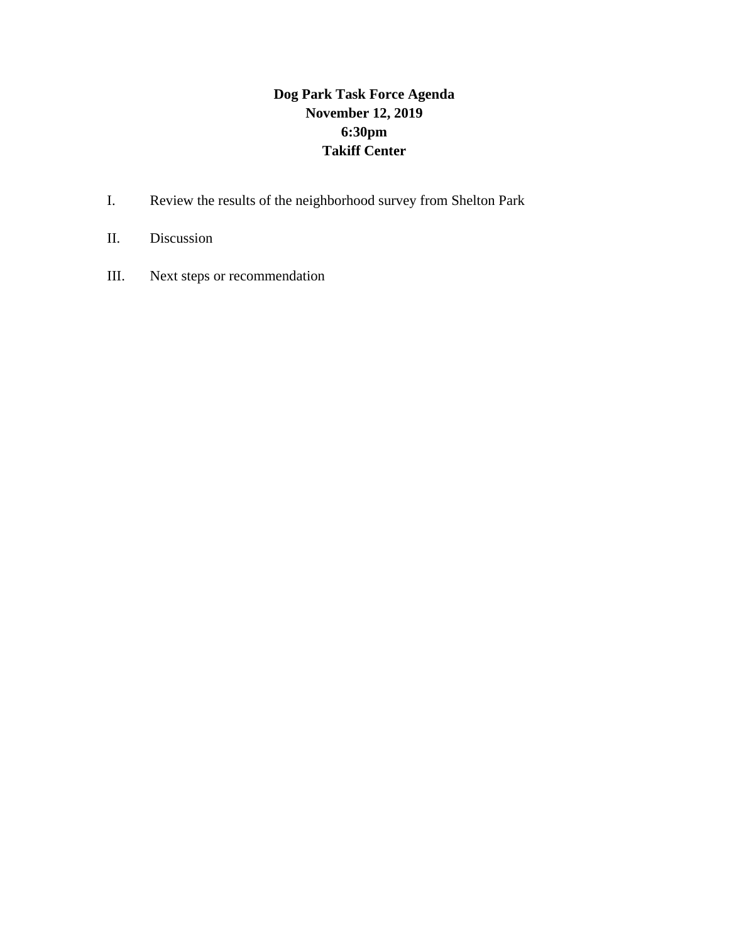# **Dog Park Task Force Agenda November 12, 2019 6:30pm Takiff Center**

- I. Review the results of the neighborhood survey from Shelton Park
- II. Discussion
- III. Next steps or recommendation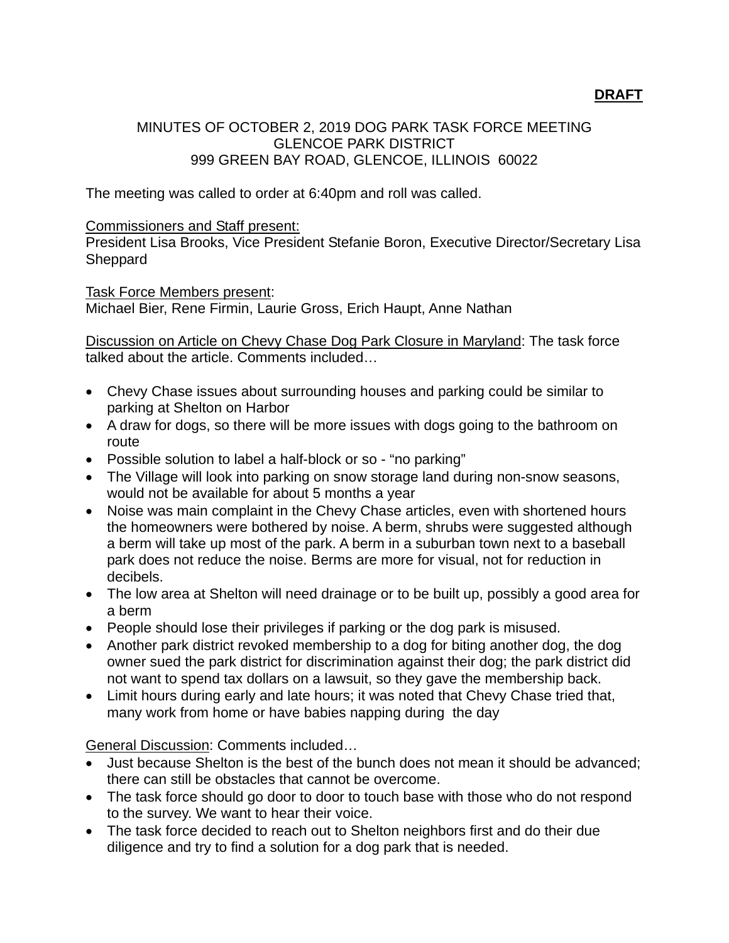### **DRAFT**

### MINUTES OF OCTOBER 2, 2019 DOG PARK TASK FORCE MEETING GLENCOE PARK DISTRICT 999 GREEN BAY ROAD, GLENCOE, ILLINOIS 60022

The meeting was called to order at 6:40pm and roll was called.

#### Commissioners and Staff present:

President Lisa Brooks, Vice President Stefanie Boron, Executive Director/Secretary Lisa Sheppard

#### Task Force Members present:

Michael Bier, Rene Firmin, Laurie Gross, Erich Haupt, Anne Nathan

Discussion on Article on Chevy Chase Dog Park Closure in Maryland: The task force talked about the article. Comments included…

- Chevy Chase issues about surrounding houses and parking could be similar to parking at Shelton on Harbor
- A draw for dogs, so there will be more issues with dogs going to the bathroom on route
- Possible solution to label a half-block or so "no parking"
- The Village will look into parking on snow storage land during non-snow seasons, would not be available for about 5 months a year
- Noise was main complaint in the Chevy Chase articles, even with shortened hours the homeowners were bothered by noise. A berm, shrubs were suggested although a berm will take up most of the park. A berm in a suburban town next to a baseball park does not reduce the noise. Berms are more for visual, not for reduction in decibels.
- The low area at Shelton will need drainage or to be built up, possibly a good area for a berm
- People should lose their privileges if parking or the dog park is misused.
- Another park district revoked membership to a dog for biting another dog, the dog owner sued the park district for discrimination against their dog; the park district did not want to spend tax dollars on a lawsuit, so they gave the membership back.
- Limit hours during early and late hours; it was noted that Chevy Chase tried that, many work from home or have babies napping during the day

General Discussion: Comments included…

- Just because Shelton is the best of the bunch does not mean it should be advanced; there can still be obstacles that cannot be overcome.
- The task force should go door to door to touch base with those who do not respond to the survey. We want to hear their voice.
- The task force decided to reach out to Shelton neighbors first and do their due diligence and try to find a solution for a dog park that is needed.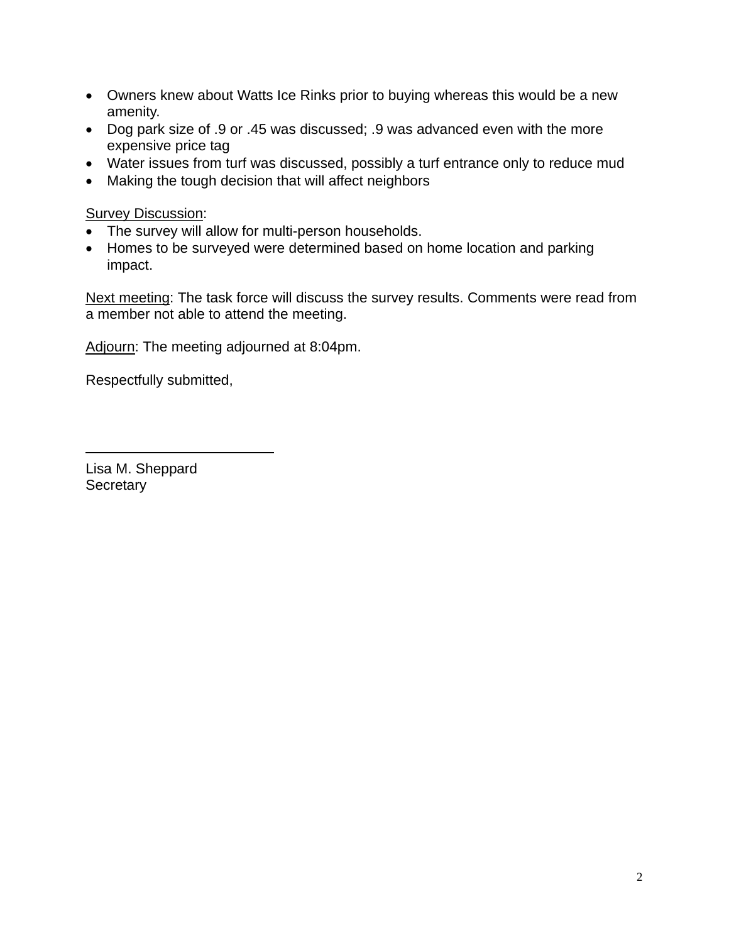- Owners knew about Watts Ice Rinks prior to buying whereas this would be a new amenity.
- Dog park size of .9 or .45 was discussed; .9 was advanced even with the more expensive price tag
- Water issues from turf was discussed, possibly a turf entrance only to reduce mud
- Making the tough decision that will affect neighbors

**Survey Discussion:** 

- The survey will allow for multi-person households.
- Homes to be surveyed were determined based on home location and parking impact.

Next meeting: The task force will discuss the survey results. Comments were read from a member not able to attend the meeting.

Adjourn: The meeting adjourned at 8:04pm.

Respectfully submitted,

Lisa M. Sheppard **Secretary** 

l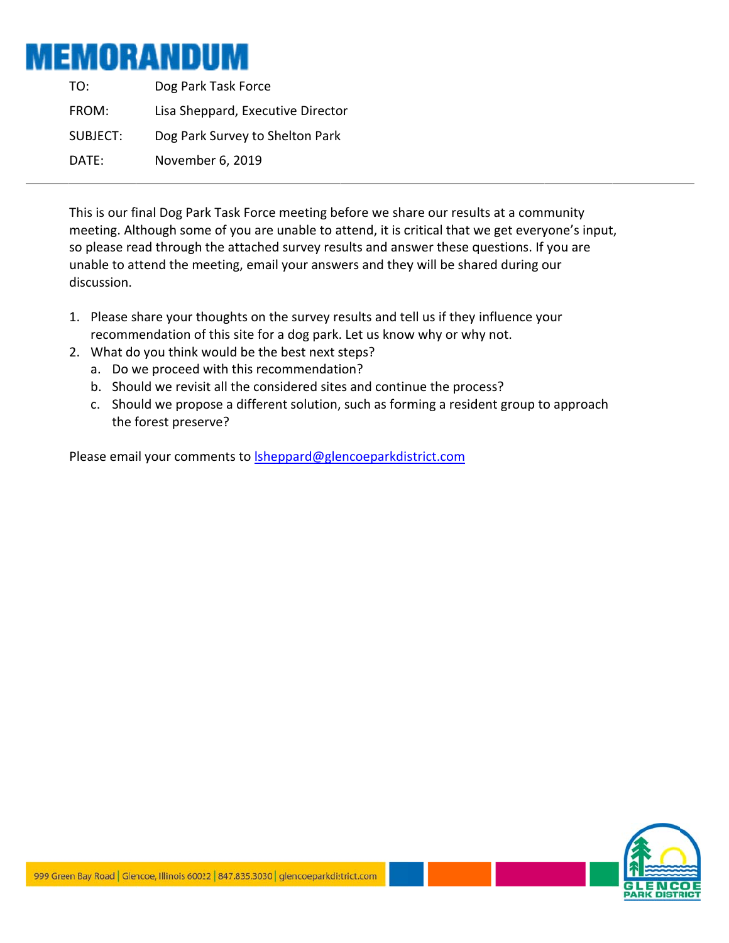# MEMORANDUM

TO: FROM: SUBJECT: DATE: SUBJECT: Dog Park Survey to Shelton Park<br>DATE: November 6, 2019<br>This is our final Dog Park Task Force meeting before we share our results at a community Dog Park k Task Force Lisa Sheppard, Executive Director Dog Park Survey to Shelton Park Novemb er 6, 2019

meeting. Although some of you are unable to attend, it is critical that we get everyone's input, so please read through the attached survey results and answer these questions. If you are unable to attend the meeting, email your answers and they will be shared during our discussion.

- 1. Please share your thoughts on the survey results and tell us if they influence your recommendation of this site for a dog park. Let us know why or why not.
- 2. What do you think would be the best next steps?
	- a. Do we proceed with this recommendation?
	- b. Should we revisit all the considered sites and continue the process?
	- c. Should we propose a different solution, such as forming a resident group to approach the f forest prese rve?

Please email your comments to **lsheppard@glencoeparkdistrict.com** 

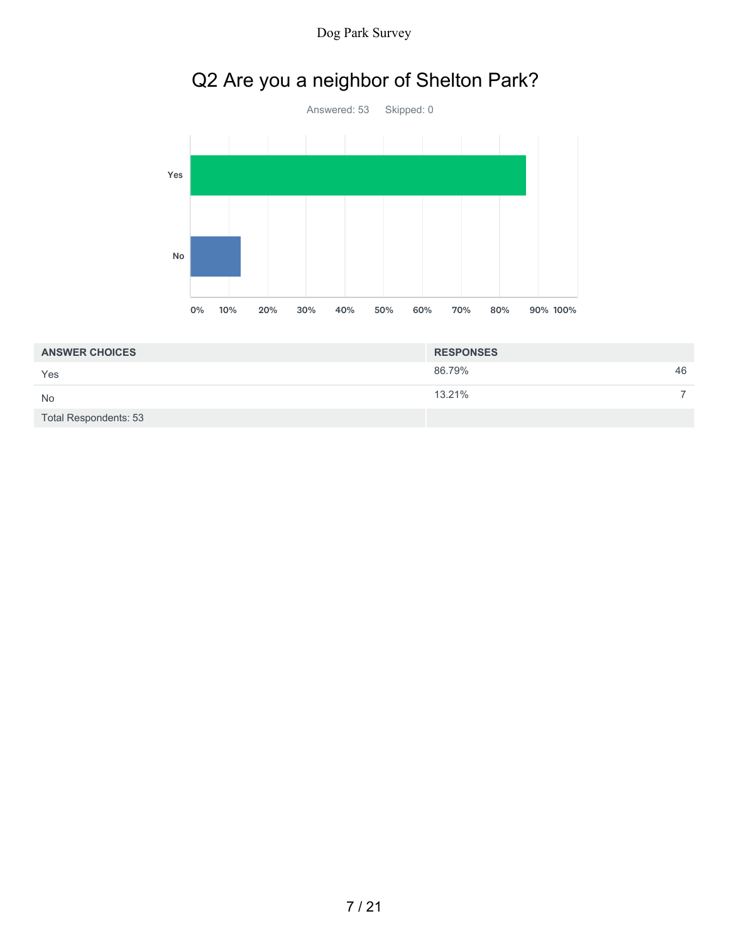Dog Park Survey

# Q2 Are you a neighbor of Shelton Park?



| <b>ANSWER CHOICES</b> | <b>RESPONSES</b> |  |
|-----------------------|------------------|--|
| Yes                   | 46<br>86.79%     |  |
| <b>No</b>             | 13.21%           |  |
| Total Respondents: 53 |                  |  |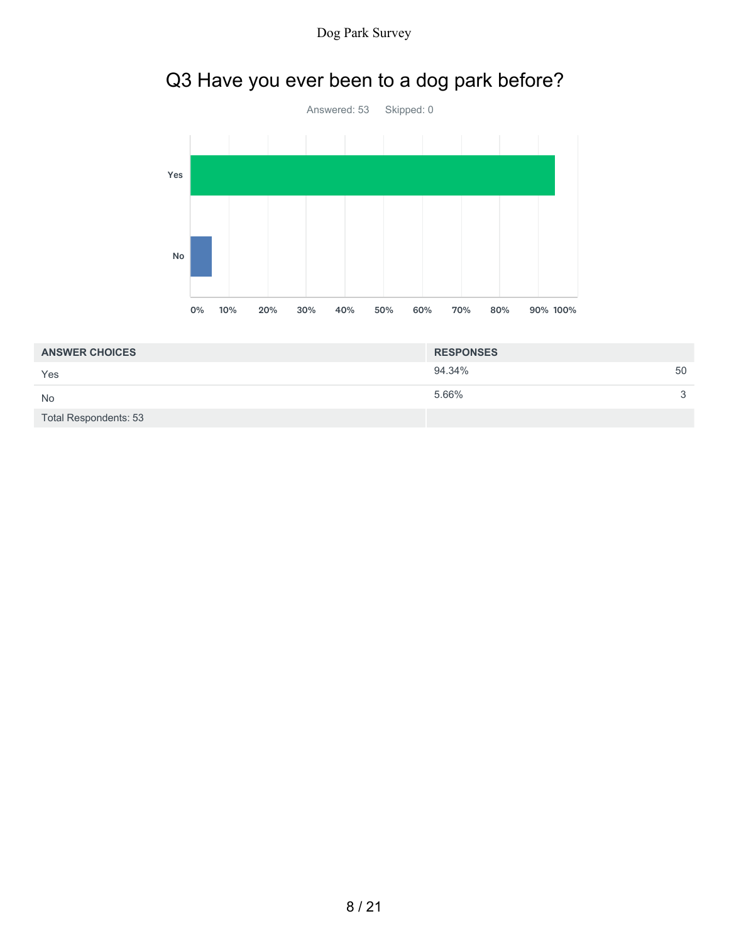

# Q3 Have you ever been to a dog park before?



| <b>ANSWER CHOICES</b>        | <b>RESPONSES</b> |    |
|------------------------------|------------------|----|
| Yes                          | 94.34%           | 50 |
| <b>No</b>                    | 5.66%            | ≏  |
| <b>Total Respondents: 53</b> |                  |    |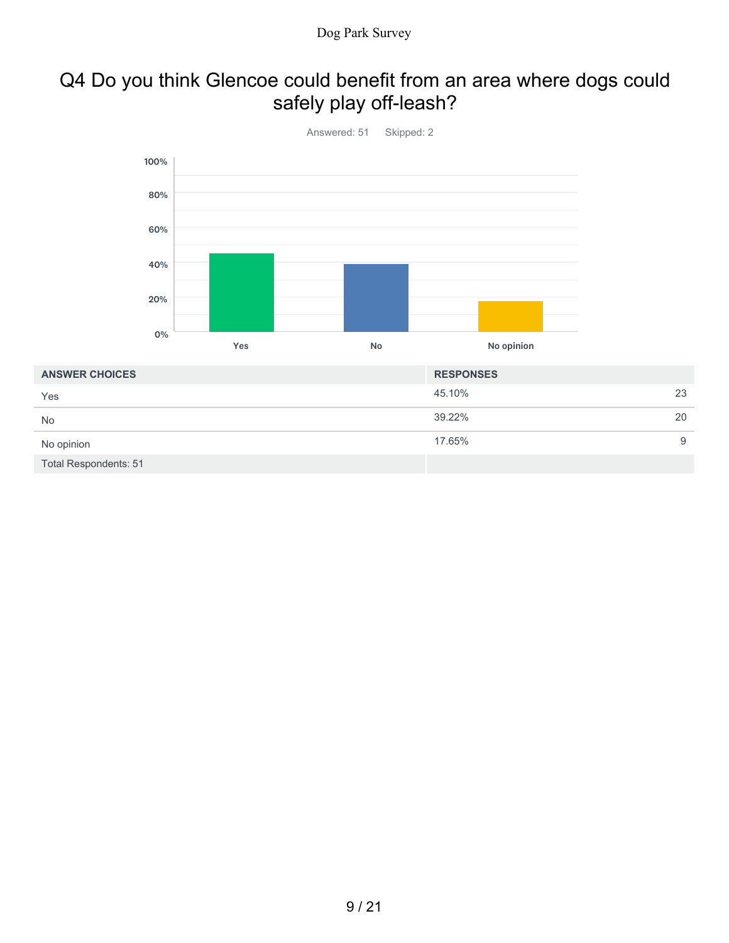# Q4 Do you think Glencoe could benefit from an area where dogs could safely play off-leash?



| Yes                   | 45.10% | 23 |
|-----------------------|--------|----|
| No                    | 39.22% | 20 |
| No opinion            | 17.65% | 9  |
| Total Respondents: 51 |        |    |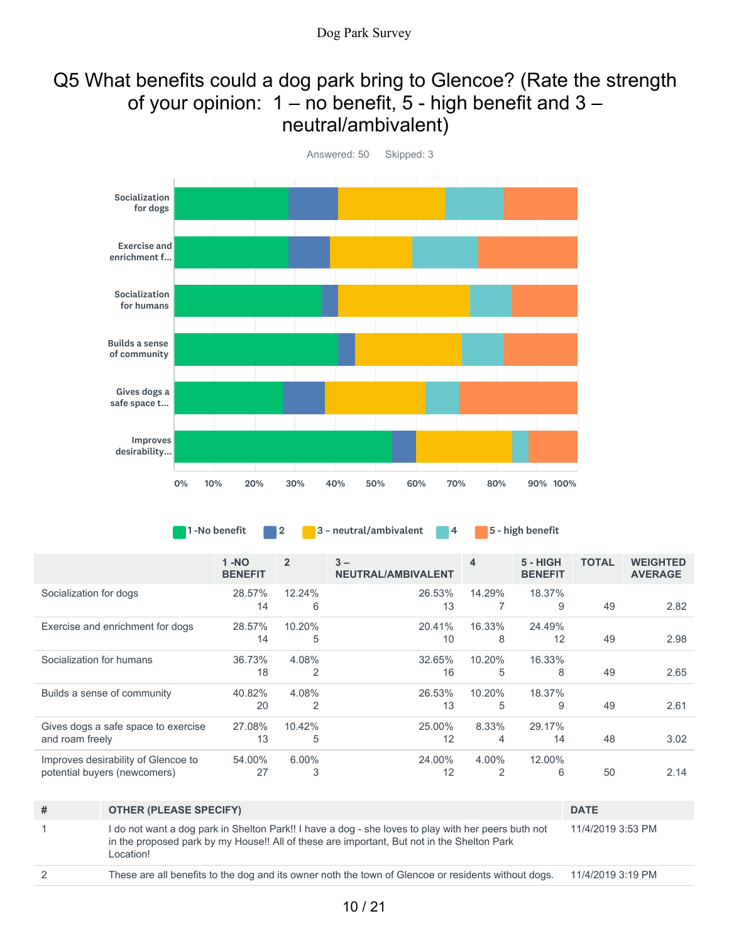# Q5 What benefits could a dog park bring to Glencoe? (Rate the strength of your opinion:  $1 - no$  benefit,  $5 - high$  benefit and  $3$ neutral/ambivalent)



Answered: 50 Skipped: 3

1 -No benefit 2 3 - neutral/ambivalent 4 5 - high benefit

|                                     | $1 - NO$<br><b>BENEFIT</b> | $\overline{2}$ | $3 -$<br>NEUTRAL/AMBIVALENT | 4      | 5 - HIGH<br><b>BENEFIT</b> | <b>TOTAL</b> | <b>WEIGHTED</b><br><b>AVERAGE</b> |
|-------------------------------------|----------------------------|----------------|-----------------------------|--------|----------------------------|--------------|-----------------------------------|
| Socialization for dogs              | 28.57%                     | 12.24%         | 26.53%                      | 14.29% | 18.37%                     |              |                                   |
|                                     | 14                         | 6              | 13                          |        | 9                          | 49           | 2.82                              |
| Exercise and enrichment for dogs    | 28.57%                     | 10.20%         | 20.41%                      | 16.33% | 24.49%                     |              |                                   |
|                                     | 14                         | 5              | 10                          | 8      | 12                         | 49           | 2.98                              |
| Socialization for humans            | 36.73%                     | 4.08%          | 32.65%                      | 10.20% | 16.33%                     |              |                                   |
|                                     | 18                         | 2              | 16                          | 5      | 8                          | 49           | 2.65                              |
| Builds a sense of community         | 40.82%                     | 4.08%          | 26.53%                      | 10.20% | 18.37%                     |              |                                   |
|                                     | 20                         | 2              | 13                          | 5      | 9                          | 49           | 2.61                              |
| Gives dogs a safe space to exercise | 27.08%                     | 10.42%         | 25.00%                      | 8.33%  | 29.17%                     |              |                                   |
| and roam freely                     | 13                         | 5              | 12                          | 4      | 14                         | 48           | 3.02                              |
| Improves desirability of Glencoe to | 54.00%                     | $6.00\%$       | 24.00%                      | 4.00%  | 12.00%                     |              |                                   |
| potential buyers (newcomers)        | 27                         | 3              | 12                          | 2      | 6                          | 50           | 2.14                              |

| # | <b>OTHER (PLEASE SPECIFY)</b>                                                                                                                                                                                  | <b>DATE</b>       |
|---|----------------------------------------------------------------------------------------------------------------------------------------------------------------------------------------------------------------|-------------------|
|   | I do not want a dog park in Shelton Park!! I have a dog - she loves to play with her peers buth not<br>in the proposed park by my House!! All of these are important, But not in the Shelton Park<br>Location! | 11/4/2019 3:53 PM |
|   |                                                                                                                                                                                                                |                   |

2 These are all benefits to the dog and its owner noth the town of Glencoe or residents without dogs. 11/4/2019 3:19 PM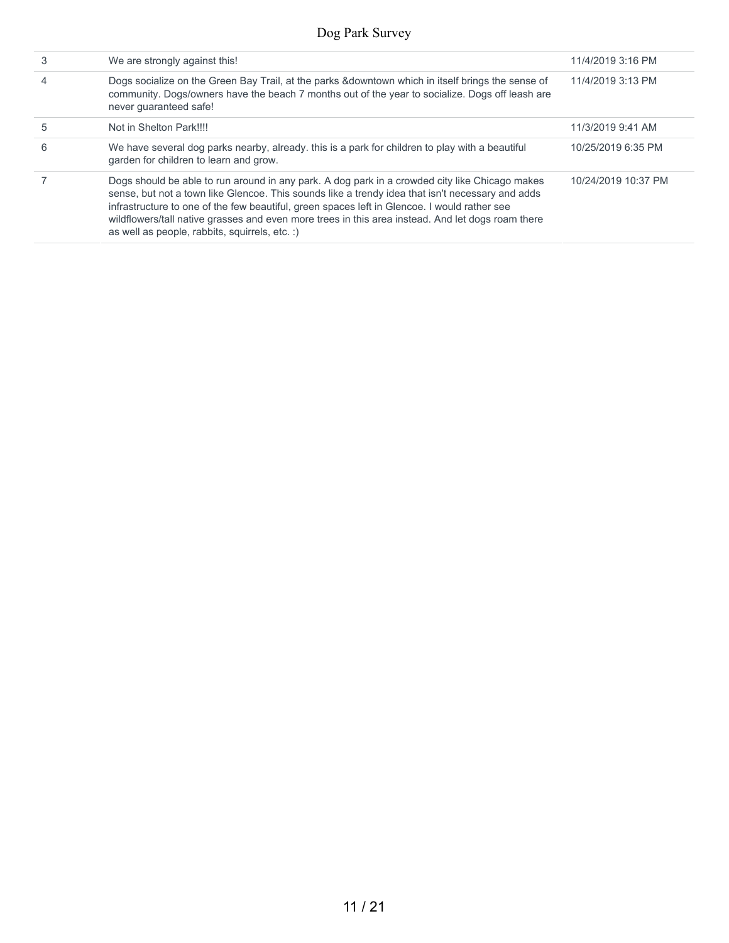| 3 | We are strongly against this!                                                                                                                                                                                                                                                                                                                                                                                                                             | 11/4/2019 3:16 PM   |
|---|-----------------------------------------------------------------------------------------------------------------------------------------------------------------------------------------------------------------------------------------------------------------------------------------------------------------------------------------------------------------------------------------------------------------------------------------------------------|---------------------|
|   | Dogs socialize on the Green Bay Trail, at the parks &downtown which in itself brings the sense of<br>community. Dogs/owners have the beach 7 months out of the year to socialize. Dogs off leash are<br>never quaranteed safe!                                                                                                                                                                                                                            | 11/4/2019 3:13 PM   |
| 5 | Not in Shelton Park!!!!                                                                                                                                                                                                                                                                                                                                                                                                                                   | 11/3/2019 9:41 AM   |
| 6 | We have several dog parks nearby, already. this is a park for children to play with a beautiful<br>garden for children to learn and grow.                                                                                                                                                                                                                                                                                                                 | 10/25/2019 6:35 PM  |
|   | Dogs should be able to run around in any park. A dog park in a crowded city like Chicago makes<br>sense, but not a town like Glencoe. This sounds like a trendy idea that isn't necessary and adds<br>infrastructure to one of the few beautiful, green spaces left in Glencoe. I would rather see<br>wildflowers/tall native grasses and even more trees in this area instead. And let dogs roam there<br>as well as people, rabbits, squirrels, etc. :) | 10/24/2019 10:37 PM |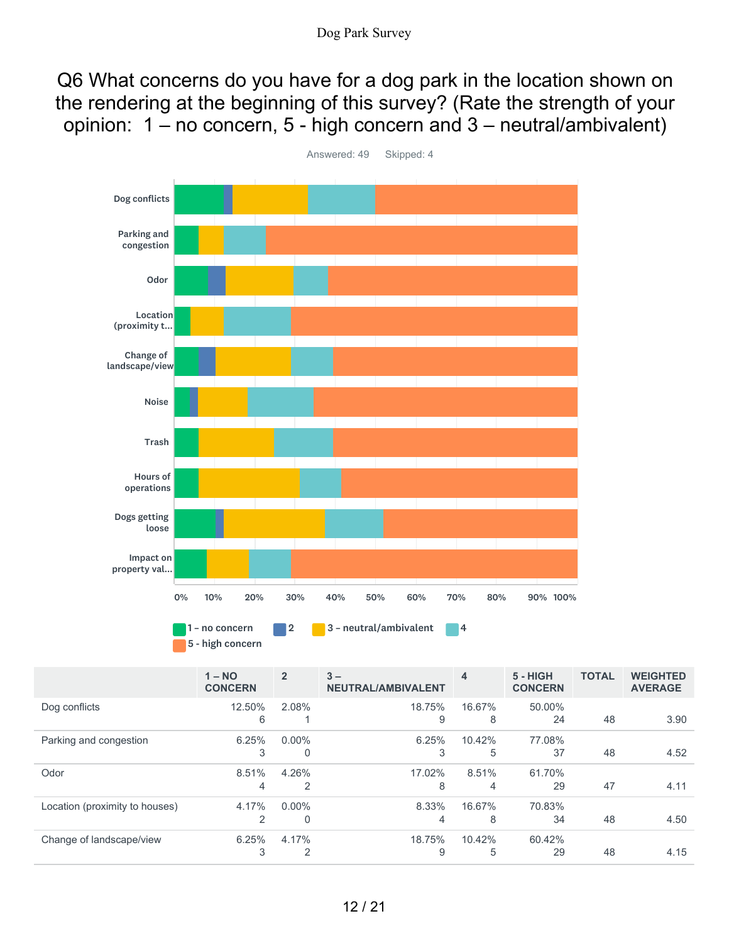Q6 What concerns do you have for a dog park in the location shown on the rendering at the beginning of this survey? (Rate the strength of your opinion: 1 – no concern, 5 - high concern and 3 – neutral/ambivalent)



Answered: 49 Skipped: 4

|                                | $1 - NO$<br><b>CONCERN</b> | $\overline{2}$ | $3 -$<br>NEUTRAL/AMBIVALENT | $\overline{\mathbf{4}}$ | $5 - HIGH$<br><b>CONCERN</b> | <b>TOTAL</b> | <b>WEIGHTED</b><br><b>AVERAGE</b> |
|--------------------------------|----------------------------|----------------|-----------------------------|-------------------------|------------------------------|--------------|-----------------------------------|
| Dog conflicts                  | 12.50%                     | $2.08\%$       | 18.75%                      | 16.67%                  | 50.00%                       |              |                                   |
|                                | 6                          |                | 9                           | 8                       | 24                           | 48           | 3.90                              |
| Parking and congestion         | 6.25%                      | $0.00\%$       | 6.25%                       | 10.42%                  | 77.08%                       |              |                                   |
|                                | 3                          | 0              | 3                           | 5                       | 37                           | 48           | 4.52                              |
| Odor                           | 8.51%                      | 4.26%          | 17.02%                      | 8.51%                   | 61.70%                       |              |                                   |
|                                | 4                          | 2              | 8                           | 4                       | 29                           | 47           | 4.11                              |
| Location (proximity to houses) | 4.17%                      | $0.00\%$       | 8.33%                       | 16.67%                  | 70.83%                       |              |                                   |
|                                | 2                          | $\Omega$       | 4                           | 8                       | 34                           | 48           | 4.50                              |
| Change of landscape/view       | 6.25%                      | 4.17%          | 18.75%                      | 10.42%                  | 60.42%                       |              |                                   |
|                                | 3                          | 2              | 9                           | 5                       | 29                           | 48           | 4.15                              |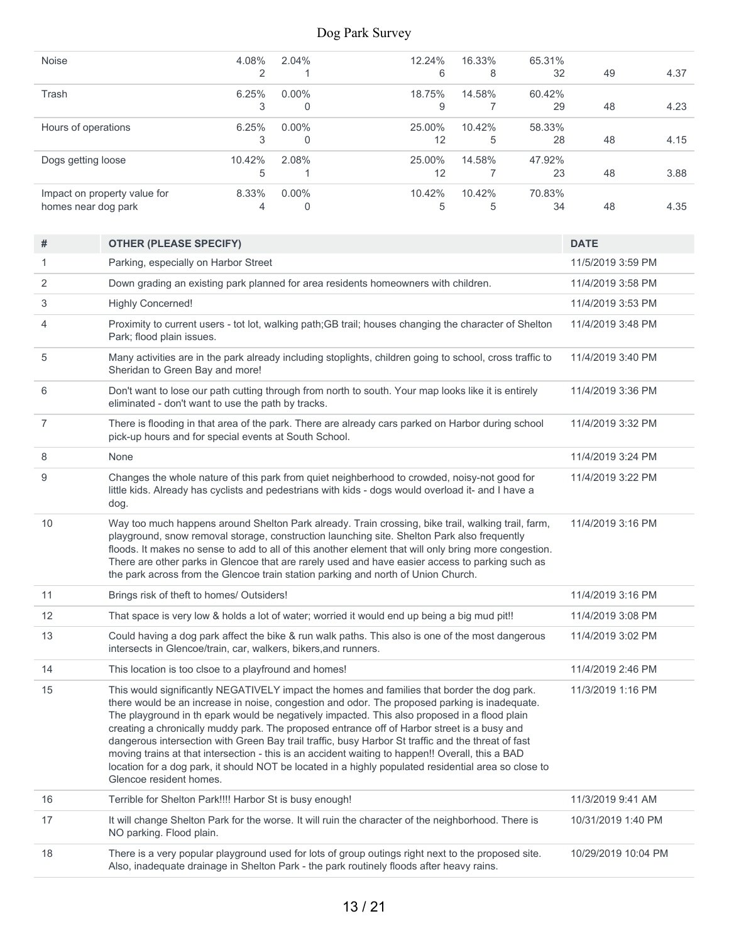| <b>Noise</b>                 | 4.08%  | 2.04%    | 12.24% | 16.33% | 65.31% |    |      |
|------------------------------|--------|----------|--------|--------|--------|----|------|
|                              | ◠      |          | 6      | 8      | 32     | 49 | 4.37 |
| Trash                        | 6.25%  | $0.00\%$ | 18.75% | 14.58% | 60.42% |    |      |
|                              | 3      | 0        | 9      |        | 29     | 48 | 4.23 |
| Hours of operations          | 6.25%  | $0.00\%$ | 25.00% | 10.42% | 58.33% |    |      |
|                              | 3      | $\Omega$ | 12     | 5      | 28     | 48 | 4.15 |
| Dogs getting loose           | 10.42% | 2.08%    | 25.00% | 14.58% | 47.92% |    |      |
|                              | 5      |          | 12     |        | 23     | 48 | 3.88 |
| Impact on property value for | 8.33%  | $0.00\%$ | 10.42% | 10.42% | 70.83% |    |      |
| homes near dog park          | 4      | $\Omega$ | 5      | 5      | 34     | 48 | 4.35 |
|                              |        |          |        |        |        |    |      |

| #  | <b>OTHER (PLEASE SPECIFY)</b>                                                                                                                                                                                                                                                                                                                                                                                                                                                                                                                                                                                                                                                                                                            | <b>DATE</b>         |
|----|------------------------------------------------------------------------------------------------------------------------------------------------------------------------------------------------------------------------------------------------------------------------------------------------------------------------------------------------------------------------------------------------------------------------------------------------------------------------------------------------------------------------------------------------------------------------------------------------------------------------------------------------------------------------------------------------------------------------------------------|---------------------|
| 1  | Parking, especially on Harbor Street                                                                                                                                                                                                                                                                                                                                                                                                                                                                                                                                                                                                                                                                                                     | 11/5/2019 3:59 PM   |
| 2  | Down grading an existing park planned for area residents homeowners with children.                                                                                                                                                                                                                                                                                                                                                                                                                                                                                                                                                                                                                                                       | 11/4/2019 3:58 PM   |
| 3  | <b>Highly Concerned!</b>                                                                                                                                                                                                                                                                                                                                                                                                                                                                                                                                                                                                                                                                                                                 | 11/4/2019 3:53 PM   |
| 4  | Proximity to current users - tot lot, walking path;GB trail; houses changing the character of Shelton<br>Park; flood plain issues.                                                                                                                                                                                                                                                                                                                                                                                                                                                                                                                                                                                                       | 11/4/2019 3:48 PM   |
| 5  | Many activities are in the park already including stoplights, children going to school, cross traffic to<br>Sheridan to Green Bay and more!                                                                                                                                                                                                                                                                                                                                                                                                                                                                                                                                                                                              | 11/4/2019 3:40 PM   |
| 6  | Don't want to lose our path cutting through from north to south. Your map looks like it is entirely<br>eliminated - don't want to use the path by tracks.                                                                                                                                                                                                                                                                                                                                                                                                                                                                                                                                                                                | 11/4/2019 3:36 PM   |
| 7  | There is flooding in that area of the park. There are already cars parked on Harbor during school<br>pick-up hours and for special events at South School.                                                                                                                                                                                                                                                                                                                                                                                                                                                                                                                                                                               | 11/4/2019 3:32 PM   |
| 8  | None                                                                                                                                                                                                                                                                                                                                                                                                                                                                                                                                                                                                                                                                                                                                     | 11/4/2019 3:24 PM   |
| 9  | Changes the whole nature of this park from quiet neighberhood to crowded, noisy-not good for<br>little kids. Already has cyclists and pedestrians with kids - dogs would overload it- and I have a<br>dog.                                                                                                                                                                                                                                                                                                                                                                                                                                                                                                                               | 11/4/2019 3:22 PM   |
| 10 | Way too much happens around Shelton Park already. Train crossing, bike trail, walking trail, farm,<br>playground, snow removal storage, construction launching site. Shelton Park also frequently<br>floods. It makes no sense to add to all of this another element that will only bring more congestion.<br>There are other parks in Glencoe that are rarely used and have easier access to parking such as<br>the park across from the Glencoe train station parking and north of Union Church.                                                                                                                                                                                                                                       | 11/4/2019 3:16 PM   |
| 11 | Brings risk of theft to homes/ Outsiders!                                                                                                                                                                                                                                                                                                                                                                                                                                                                                                                                                                                                                                                                                                | 11/4/2019 3:16 PM   |
| 12 | That space is very low & holds a lot of water; worried it would end up being a big mud pit!!                                                                                                                                                                                                                                                                                                                                                                                                                                                                                                                                                                                                                                             | 11/4/2019 3:08 PM   |
| 13 | Could having a dog park affect the bike & run walk paths. This also is one of the most dangerous<br>intersects in Glencoe/train, car, walkers, bikers, and runners.                                                                                                                                                                                                                                                                                                                                                                                                                                                                                                                                                                      | 11/4/2019 3:02 PM   |
| 14 | This location is too clsoe to a playfround and homes!                                                                                                                                                                                                                                                                                                                                                                                                                                                                                                                                                                                                                                                                                    | 11/4/2019 2:46 PM   |
| 15 | This would significantly NEGATIVELY impact the homes and families that border the dog park.<br>there would be an increase in noise, congestion and odor. The proposed parking is inadequate.<br>The playground in th epark would be negatively impacted. This also proposed in a flood plain<br>creating a chronically muddy park. The proposed entrance off of Harbor street is a busy and<br>dangerous intersection with Green Bay trail traffic, busy Harbor St traffic and the threat of fast<br>moving trains at that intersection - this is an accident waiting to happen!! Overall, this a BAD<br>location for a dog park, it should NOT be located in a highly populated residential area so close to<br>Glencoe resident homes. | 11/3/2019 1:16 PM   |
| 16 | Terrible for Shelton Park!!!! Harbor St is busy enough!                                                                                                                                                                                                                                                                                                                                                                                                                                                                                                                                                                                                                                                                                  | 11/3/2019 9:41 AM   |
| 17 | It will change Shelton Park for the worse. It will ruin the character of the neighborhood. There is<br>NO parking. Flood plain.                                                                                                                                                                                                                                                                                                                                                                                                                                                                                                                                                                                                          | 10/31/2019 1:40 PM  |
| 18 | There is a very popular playground used for lots of group outings right next to the proposed site.<br>Also, inadequate drainage in Shelton Park - the park routinely floods after heavy rains.                                                                                                                                                                                                                                                                                                                                                                                                                                                                                                                                           | 10/29/2019 10:04 PM |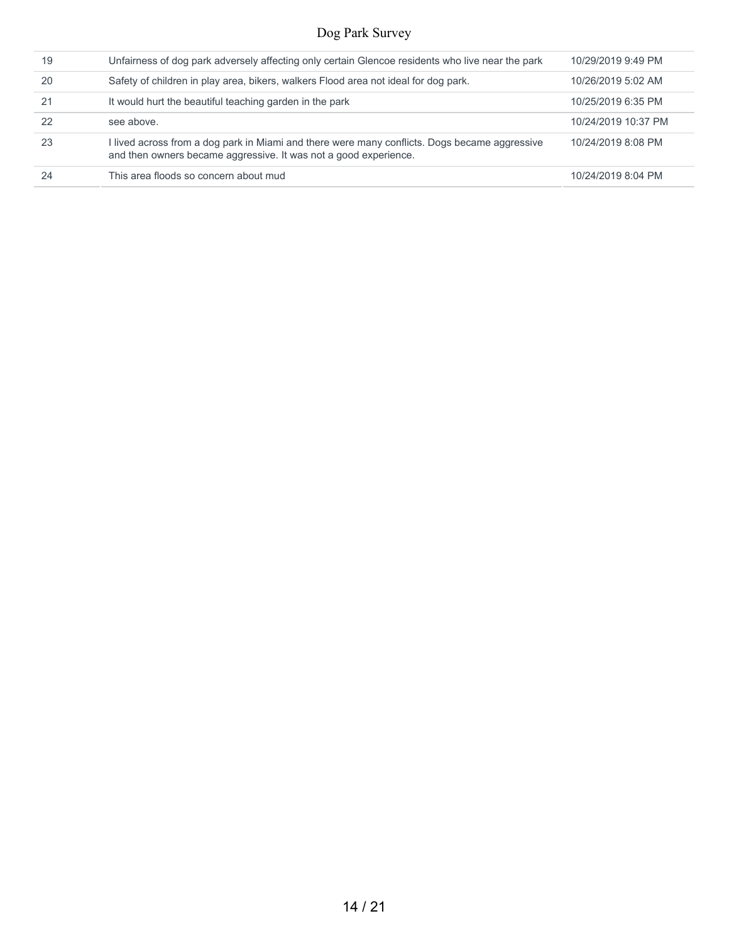| 19 | Unfairness of dog park adversely affecting only certain Glencoe residents who live near the park                                                                  | 10/29/2019 9:49 PM  |
|----|-------------------------------------------------------------------------------------------------------------------------------------------------------------------|---------------------|
| 20 | Safety of children in play area, bikers, walkers Flood area not ideal for dog park.                                                                               | 10/26/2019 5:02 AM  |
| 21 | It would hurt the beautiful teaching garden in the park                                                                                                           | 10/25/2019 6:35 PM  |
| 22 | see above.                                                                                                                                                        | 10/24/2019 10:37 PM |
| 23 | I lived across from a dog park in Miami and there were many conflicts. Dogs became aggressive<br>and then owners became aggressive. It was not a good experience. | 10/24/2019 8:08 PM  |
| 24 | This area floods so concern about mud                                                                                                                             | 10/24/2019 8:04 PM  |
|    |                                                                                                                                                                   |                     |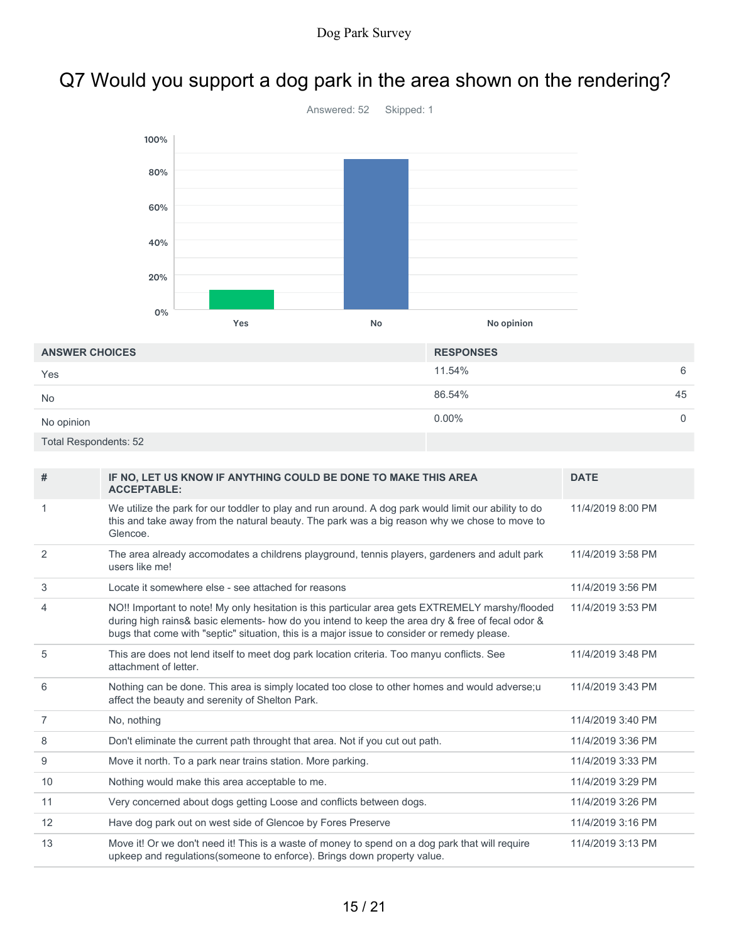# Q7 Would you support a dog park in the area shown on the rendering?



| <b>ANSWER CHOICES</b>        | <b>RESPONSES</b> |
|------------------------------|------------------|
| Yes                          | 11.54%<br>6      |
| <b>No</b>                    | 86.54%<br>45     |
| No opinion                   | $0.00\%$<br>0    |
| <b>Total Respondents: 52</b> |                  |

| #  | IF NO, LET US KNOW IF ANYTHING COULD BE DONE TO MAKE THIS AREA<br><b>ACCEPTABLE:</b>                                                                                                                                                                                                                | <b>DATE</b>       |
|----|-----------------------------------------------------------------------------------------------------------------------------------------------------------------------------------------------------------------------------------------------------------------------------------------------------|-------------------|
|    | We utilize the park for our toddler to play and run around. A dog park would limit our ability to do<br>this and take away from the natural beauty. The park was a big reason why we chose to move to<br>Glencoe.                                                                                   | 11/4/2019 8:00 PM |
| 2  | The area already accomodates a childrens playground, tennis players, gardeners and adult park<br>users like me!                                                                                                                                                                                     | 11/4/2019 3:58 PM |
| 3  | Locate it somewhere else - see attached for reasons                                                                                                                                                                                                                                                 | 11/4/2019 3:56 PM |
| 4  | NO!! Important to note! My only hesitation is this particular area gets EXTREMELY marshy/flooded<br>during high rains& basic elements- how do you intend to keep the area dry & free of fecal odor &<br>bugs that come with "septic" situation, this is a major issue to consider or remedy please. | 11/4/2019 3:53 PM |
| 5  | This are does not lend itself to meet dog park location criteria. Too manyu conflicts. See<br>attachment of letter.                                                                                                                                                                                 | 11/4/2019 3:48 PM |
| 6  | Nothing can be done. This area is simply located too close to other homes and would adverse;u<br>affect the beauty and serenity of Shelton Park.                                                                                                                                                    | 11/4/2019 3:43 PM |
| 7  | No, nothing                                                                                                                                                                                                                                                                                         | 11/4/2019 3:40 PM |
| 8  | Don't eliminate the current path throught that area. Not if you cut out path.                                                                                                                                                                                                                       | 11/4/2019 3:36 PM |
| 9  | Move it north. To a park near trains station. More parking.                                                                                                                                                                                                                                         | 11/4/2019 3:33 PM |
| 10 | Nothing would make this area acceptable to me.                                                                                                                                                                                                                                                      | 11/4/2019 3:29 PM |
| 11 | Very concerned about dogs getting Loose and conflicts between dogs.                                                                                                                                                                                                                                 | 11/4/2019 3:26 PM |
| 12 | Have dog park out on west side of Glencoe by Fores Preserve                                                                                                                                                                                                                                         | 11/4/2019 3:16 PM |
| 13 | Move it! Or we don't need it! This is a waste of money to spend on a dog park that will require<br>upkeep and regulations(someone to enforce). Brings down property value.                                                                                                                          | 11/4/2019 3:13 PM |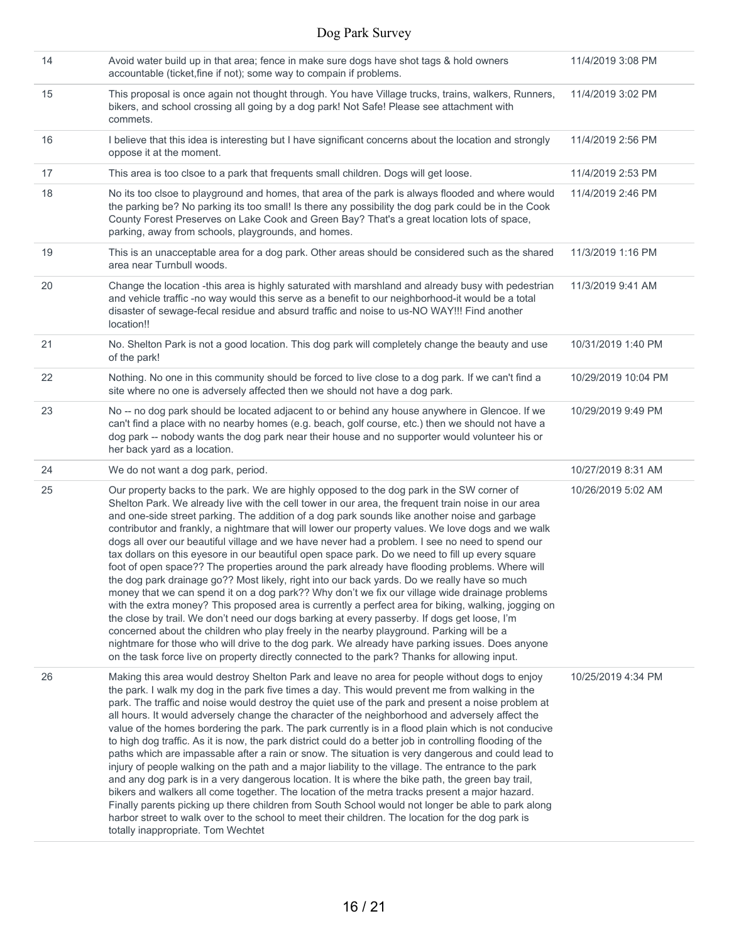| 14 | Avoid water build up in that area; fence in make sure dogs have shot tags & hold owners<br>accountable (ticket, fine if not); some way to compain if problems.                                                                                                                                                                                                                                                                                                                                                                                                                                                                                                                                                                                                                                                                                                                                                                                                                                                                                                                                                                                                                                                                                                                                                                                                                                                             | 11/4/2019 3:08 PM   |
|----|----------------------------------------------------------------------------------------------------------------------------------------------------------------------------------------------------------------------------------------------------------------------------------------------------------------------------------------------------------------------------------------------------------------------------------------------------------------------------------------------------------------------------------------------------------------------------------------------------------------------------------------------------------------------------------------------------------------------------------------------------------------------------------------------------------------------------------------------------------------------------------------------------------------------------------------------------------------------------------------------------------------------------------------------------------------------------------------------------------------------------------------------------------------------------------------------------------------------------------------------------------------------------------------------------------------------------------------------------------------------------------------------------------------------------|---------------------|
| 15 | This proposal is once again not thought through. You have Village trucks, trains, walkers, Runners,<br>bikers, and school crossing all going by a dog park! Not Safe! Please see attachment with<br>commets.                                                                                                                                                                                                                                                                                                                                                                                                                                                                                                                                                                                                                                                                                                                                                                                                                                                                                                                                                                                                                                                                                                                                                                                                               | 11/4/2019 3:02 PM   |
| 16 | I believe that this idea is interesting but I have significant concerns about the location and strongly<br>oppose it at the moment.                                                                                                                                                                                                                                                                                                                                                                                                                                                                                                                                                                                                                                                                                                                                                                                                                                                                                                                                                                                                                                                                                                                                                                                                                                                                                        | 11/4/2019 2:56 PM   |
| 17 | This area is too clsoe to a park that frequents small children. Dogs will get loose.                                                                                                                                                                                                                                                                                                                                                                                                                                                                                                                                                                                                                                                                                                                                                                                                                                                                                                                                                                                                                                                                                                                                                                                                                                                                                                                                       | 11/4/2019 2:53 PM   |
| 18 | No its too clsoe to playground and homes, that area of the park is always flooded and where would<br>the parking be? No parking its too small! Is there any possibility the dog park could be in the Cook<br>County Forest Preserves on Lake Cook and Green Bay? That's a great location lots of space,<br>parking, away from schools, playgrounds, and homes.                                                                                                                                                                                                                                                                                                                                                                                                                                                                                                                                                                                                                                                                                                                                                                                                                                                                                                                                                                                                                                                             | 11/4/2019 2:46 PM   |
| 19 | This is an unacceptable area for a dog park. Other areas should be considered such as the shared<br>area near Turnbull woods.                                                                                                                                                                                                                                                                                                                                                                                                                                                                                                                                                                                                                                                                                                                                                                                                                                                                                                                                                                                                                                                                                                                                                                                                                                                                                              | 11/3/2019 1:16 PM   |
| 20 | Change the location -this area is highly saturated with marshland and already busy with pedestrian<br>and vehicle traffic -no way would this serve as a benefit to our neighborhood-it would be a total<br>disaster of sewage-fecal residue and absurd traffic and noise to us-NO WAY!!! Find another<br>location!!                                                                                                                                                                                                                                                                                                                                                                                                                                                                                                                                                                                                                                                                                                                                                                                                                                                                                                                                                                                                                                                                                                        | 11/3/2019 9:41 AM   |
| 21 | No. Shelton Park is not a good location. This dog park will completely change the beauty and use<br>of the park!                                                                                                                                                                                                                                                                                                                                                                                                                                                                                                                                                                                                                                                                                                                                                                                                                                                                                                                                                                                                                                                                                                                                                                                                                                                                                                           | 10/31/2019 1:40 PM  |
| 22 | Nothing. No one in this community should be forced to live close to a dog park. If we can't find a<br>site where no one is adversely affected then we should not have a dog park.                                                                                                                                                                                                                                                                                                                                                                                                                                                                                                                                                                                                                                                                                                                                                                                                                                                                                                                                                                                                                                                                                                                                                                                                                                          | 10/29/2019 10:04 PM |
| 23 | No -- no dog park should be located adjacent to or behind any house anywhere in Glencoe. If we<br>can't find a place with no nearby homes (e.g. beach, golf course, etc.) then we should not have a<br>dog park -- nobody wants the dog park near their house and no supporter would volunteer his or<br>her back yard as a location.                                                                                                                                                                                                                                                                                                                                                                                                                                                                                                                                                                                                                                                                                                                                                                                                                                                                                                                                                                                                                                                                                      | 10/29/2019 9:49 PM  |
| 24 | We do not want a dog park, period.                                                                                                                                                                                                                                                                                                                                                                                                                                                                                                                                                                                                                                                                                                                                                                                                                                                                                                                                                                                                                                                                                                                                                                                                                                                                                                                                                                                         | 10/27/2019 8:31 AM  |
| 25 | Our property backs to the park. We are highly opposed to the dog park in the SW corner of<br>Shelton Park. We already live with the cell tower in our area, the frequent train noise in our area<br>and one-side street parking. The addition of a dog park sounds like another noise and garbage<br>contributor and frankly, a nightmare that will lower our property values. We love dogs and we walk<br>dogs all over our beautiful village and we have never had a problem. I see no need to spend our<br>tax dollars on this eyesore in our beautiful open space park. Do we need to fill up every square<br>foot of open space?? The properties around the park already have flooding problems. Where will<br>the dog park drainage go?? Most likely, right into our back yards. Do we really have so much<br>money that we can spend it on a dog park?? Why don't we fix our village wide drainage problems<br>with the extra money? This proposed area is currently a perfect area for biking, walking, jogging on<br>the close by trail. We don't need our dogs barking at every passerby. If dogs get loose, I'm<br>concerned about the children who play freely in the nearby playground. Parking will be a<br>nightmare for those who will drive to the dog park. We already have parking issues. Does anyone<br>on the task force live on property directly connected to the park? Thanks for allowing input. | 10/26/2019 5:02 AM  |
| 26 | Making this area would destroy Shelton Park and leave no area for people without dogs to enjoy<br>the park. I walk my dog in the park five times a day. This would prevent me from walking in the<br>park. The traffic and noise would destroy the quiet use of the park and present a noise problem at<br>all hours. It would adversely change the character of the neighborhood and adversely affect the<br>value of the homes bordering the park. The park currently is in a flood plain which is not conducive<br>to high dog traffic. As it is now, the park district could do a better job in controlling flooding of the<br>paths which are impassable after a rain or snow. The situation is very dangerous and could lead to<br>injury of people walking on the path and a major liability to the village. The entrance to the park<br>and any dog park is in a very dangerous location. It is where the bike path, the green bay trail,<br>bikers and walkers all come together. The location of the metra tracks present a major hazard.<br>Finally parents picking up there children from South School would not longer be able to park along<br>harbor street to walk over to the school to meet their children. The location for the dog park is<br>totally inappropriate. Tom Wechtet                                                                                                                       | 10/25/2019 4:34 PM  |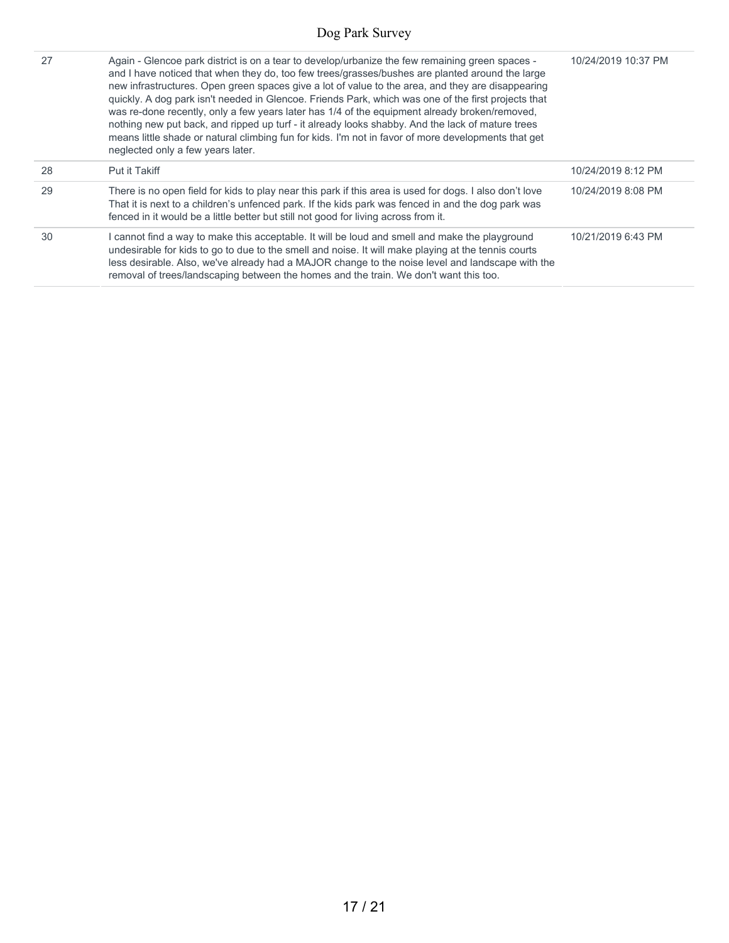| 27 | Again - Glencoe park district is on a tear to develop/urbanize the few remaining green spaces -<br>and I have noticed that when they do, too few trees/grasses/bushes are planted around the large<br>new infrastructures. Open green spaces give a lot of value to the area, and they are disappearing<br>quickly. A dog park isn't needed in Glencoe. Friends Park, which was one of the first projects that<br>was re-done recently, only a few years later has 1/4 of the equipment already broken/removed,<br>nothing new put back, and ripped up turf - it already looks shabby. And the lack of mature trees<br>means little shade or natural climbing fun for kids. I'm not in favor of more developments that get<br>neglected only a few years later. | 10/24/2019 10:37 PM |
|----|-----------------------------------------------------------------------------------------------------------------------------------------------------------------------------------------------------------------------------------------------------------------------------------------------------------------------------------------------------------------------------------------------------------------------------------------------------------------------------------------------------------------------------------------------------------------------------------------------------------------------------------------------------------------------------------------------------------------------------------------------------------------|---------------------|
| 28 | Put it Takiff                                                                                                                                                                                                                                                                                                                                                                                                                                                                                                                                                                                                                                                                                                                                                   | 10/24/2019 8:12 PM  |
| 29 | There is no open field for kids to play near this park if this area is used for dogs. I also don't love<br>That it is next to a children's unfenced park. If the kids park was fenced in and the dog park was<br>fenced in it would be a little better but still not good for living across from it.                                                                                                                                                                                                                                                                                                                                                                                                                                                            | 10/24/2019 8:08 PM  |
| 30 | cannot find a way to make this acceptable. It will be loud and smell and make the playground<br>undesirable for kids to go to due to the smell and noise. It will make playing at the tennis courts<br>less desirable. Also, we've already had a MAJOR change to the noise level and landscape with the<br>removal of trees/landscaping between the homes and the train. We don't want this too.                                                                                                                                                                                                                                                                                                                                                                | 10/21/2019 6:43 PM  |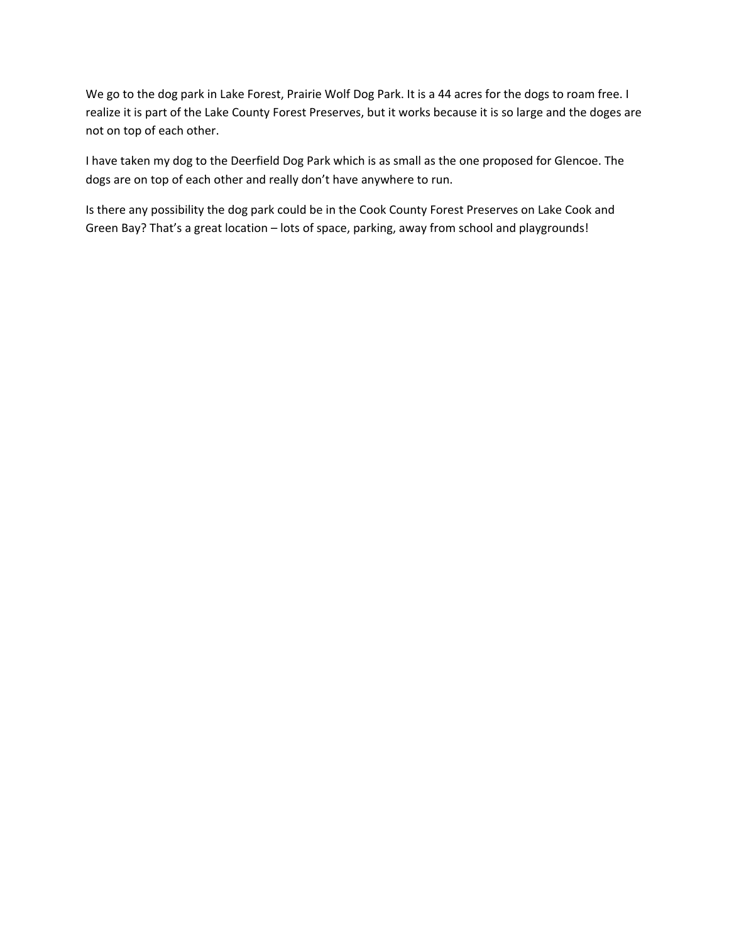We go to the dog park in Lake Forest, Prairie Wolf Dog Park. It is a 44 acres for the dogs to roam free. I realize it is part of the Lake County Forest Preserves, but it works because it is so large and the doges are not on top of each other.

I have taken my dog to the Deerfield Dog Park which is as small as the one proposed for Glencoe. The dogs are on top of each other and really don't have anywhere to run.

Is there any possibility the dog park could be in the Cook County Forest Preserves on Lake Cook and Green Bay? That's a great location – lots of space, parking, away from school and playgrounds!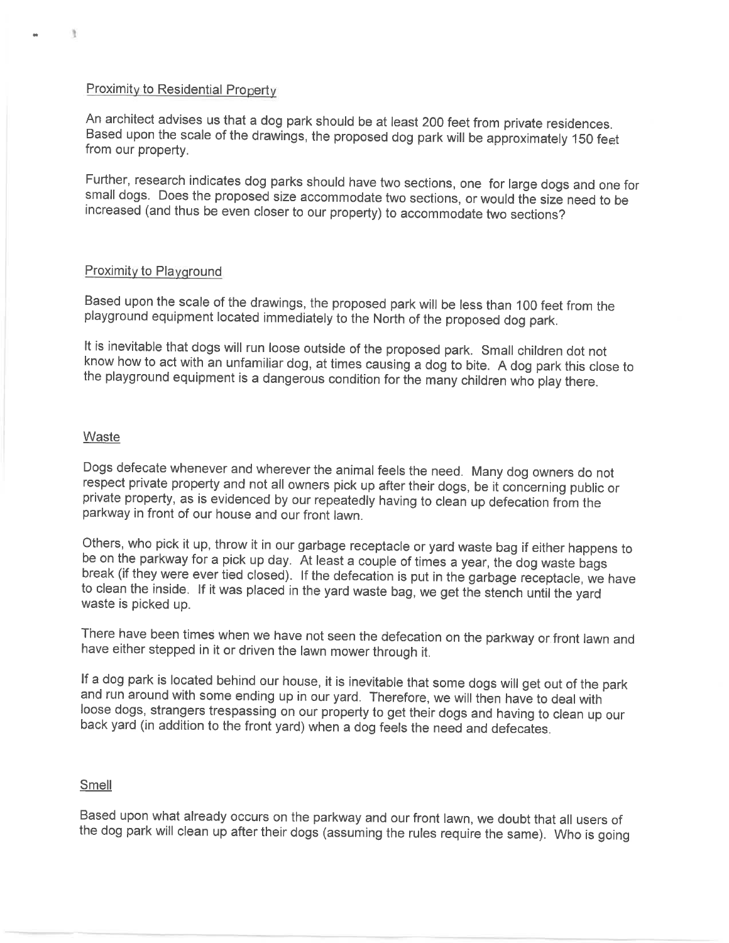#### **Proximity to Residential Property**

An architect advises us that a dog park should be at least 200 feet from private residences. Based upon the scale of the drawings, the proposed dog park will be approximately 150 feet from our property.

Further, research indicates dog parks should have two sections, one for large dogs and one for small dogs. Does the proposed size accommodate two sections, or would the size need to be increased (and thus be even closer to our property) to accommodate two sections?

#### Proximity to Playground

Based upon the scale of the drawings, the proposed park will be less than 100 feet from the playground equipment located immediately to the North of the proposed dog park.

It is inevitable that dogs will run loose outside of the proposed park. Small children dot not know how to act with an unfamiliar dog, at times causing a dog to bite. A dog park this close to the playground equipment is a dangerous condition for the many children who play there.

#### Waste

Dogs defecate whenever and wherever the animal feels the need. Many dog owners do not respect private property and not all owners pick up after their dogs, be it concerning public or private property, as is evidenced by our repeatedly having to clean up defecation from the parkway in front of our house and our front lawn.

Others, who pick it up, throw it in our garbage receptacle or yard waste bag if either happens to be on the parkway for a pick up day. At least a couple of times a year, the dog waste bags break (if they were ever tied closed). If the defecation is put in the garbage receptacle, we have to clean the inside. If it was placed in the yard waste bag, we get the stench until the yard waste is picked up.

There have been times when we have not seen the defecation on the parkway or front lawn and have either stepped in it or driven the lawn mower through it.

If a dog park is located behind our house, it is inevitable that some dogs will get out of the park and run around with some ending up in our yard. Therefore, we will then have to deal with loose dogs, strangers trespassing on our property to get their dogs and having to clean up our back yard (in addition to the front yard) when a dog feels the need and defecates.

#### Smell

Based upon what already occurs on the parkway and our front lawn, we doubt that all users of the dog park will clean up after their dogs (assuming the rules require the same). Who is going

 $\mathbb{R}$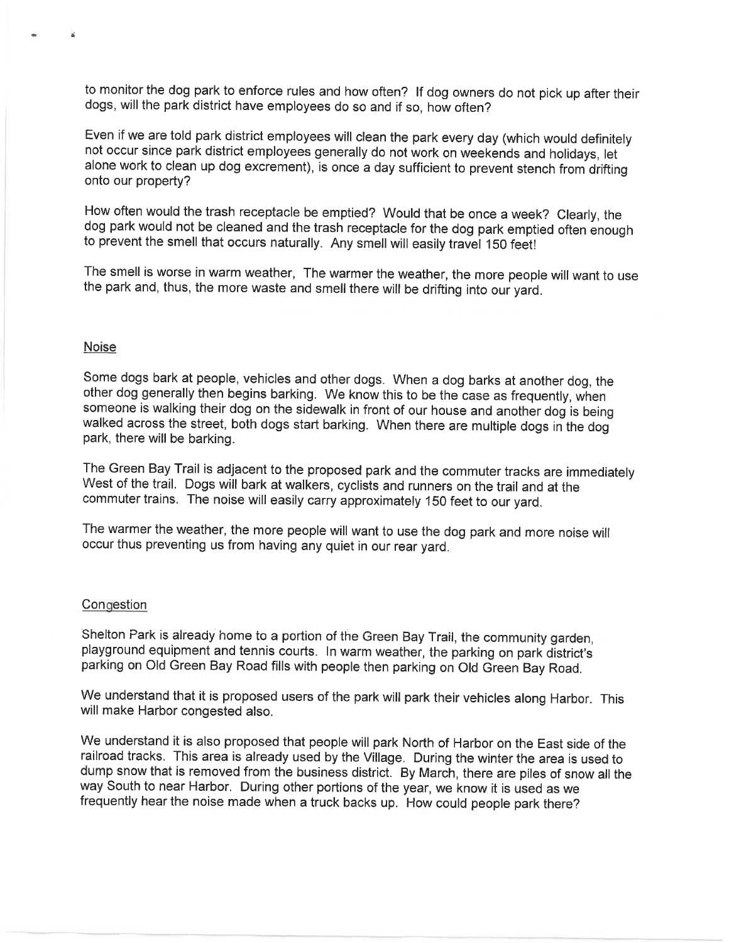to monitor the dog park to enforce rules and how often? If dog owners do not pick up after their dogs, will the park district have employees do so and if so, how often?

Even if we are told park district employees will clean the park every day (which would definitely not occur since park district employees generally do not work on weekends and holidays, let alone work to clean up dog excrement), is once a day sufficient to prevent stench from drifting onto our property?

How often would the trash receptacle be emptied? Would that be once a week? Clearly, the dog park would not be cleaned and the trash receptacle for the dog park emptied often enough to prevent the smell that occurs naturally. Any smell will easily travel 150 feet!

The smell is worse in warm weather, The warmer the weather, the more people will want to use the park and, thus, the more waste and smell there will be drifting into our yard.

#### **Noise**

Some dogs bark at people, vehicles and other dogs. When a dog barks at another dog, the other dog generally then begins barking. We know this to be the case as frequently, when someone is walking their dog on the sidewalk in front of our house and another dog is being walked across the street, both dogs start barking. When there are multiple dogs in the dog park, there will be barking.

The Green Bay Trail is adjacent to the proposed park and the commuter tracks are immediately West of the trail. Dogs will bark at walkers, cyclists and runners on the trail and at the commuter trains. The noise will easily carry approximately 150 feet to our yard.

The warmer the weather, the more people will want to use the dog park and more noise will occur thus preventing us from having any quiet in our rear yard.

#### Congestion

Shelton Park is already home to a portion of the Green Bay Trail, the community garden. playground equipment and tennis courts. In warm weather, the parking on park district's parking on Old Green Bay Road fills with people then parking on Old Green Bay Road.

We understand that it is proposed users of the park will park their vehicles along Harbor. This will make Harbor congested also.

We understand it is also proposed that people will park North of Harbor on the East side of the railroad tracks. This area is already used by the Village. During the winter the area is used to dump snow that is removed from the business district. By March, there are piles of snow all the way South to near Harbor. During other portions of the year, we know it is used as we frequently hear the noise made when a truck backs up. How could people park there?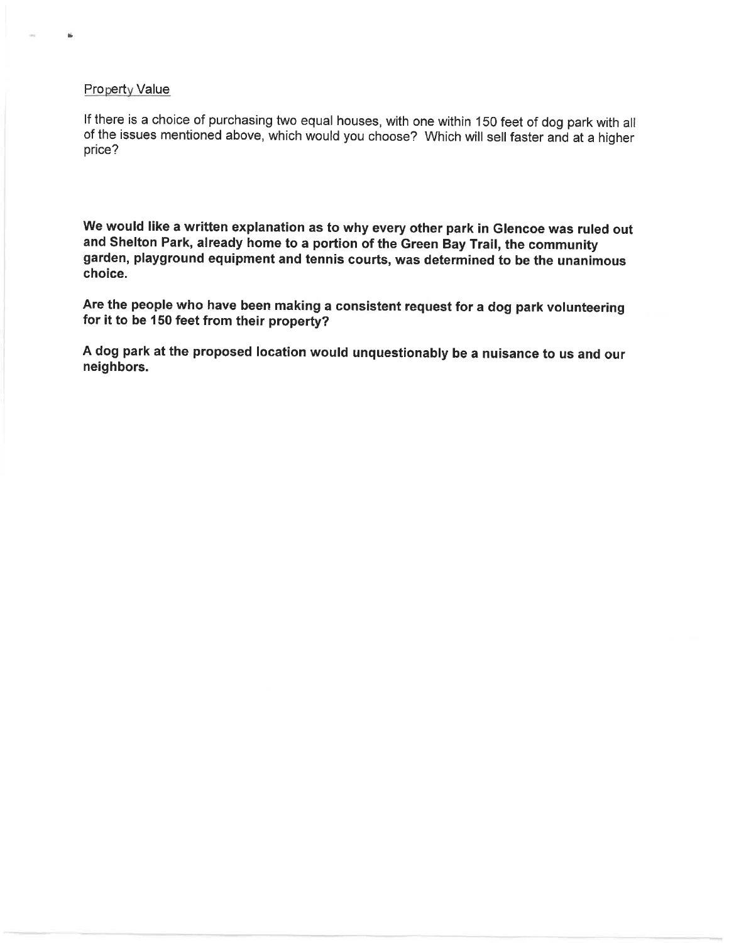#### **Property Value**

Ė.

If there is a choice of purchasing two equal houses, with one within 150 feet of dog park with all of the issues mentioned above, which would you choose? Which will sell faster and at a higher price?

We would like a written explanation as to why every other park in Glencoe was ruled out and Shelton Park, already home to a portion of the Green Bay Trail, the community garden, playground equipment and tennis courts, was determined to be the unanimous choice.

Are the people who have been making a consistent request for a dog park volunteering for it to be 150 feet from their property?

A dog park at the proposed location would unquestionably be a nuisance to us and our neighbors.